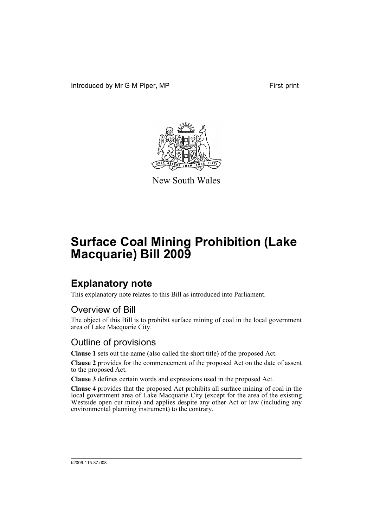Introduced by Mr G M Piper, MP First print



New South Wales

# **Surface Coal Mining Prohibition (Lake Macquarie) Bill 2009**

### **Explanatory note**

This explanatory note relates to this Bill as introduced into Parliament.

#### Overview of Bill

The object of this Bill is to prohibit surface mining of coal in the local government area of Lake Macquarie City.

#### Outline of provisions

**Clause 1** sets out the name (also called the short title) of the proposed Act.

**Clause 2** provides for the commencement of the proposed Act on the date of assent to the proposed Act.

**Clause 3** defines certain words and expressions used in the proposed Act.

**Clause 4** provides that the proposed Act prohibits all surface mining of coal in the local government area of Lake Macquarie City (except for the area of the existing Westside open cut mine) and applies despite any other Act or law (including any environmental planning instrument) to the contrary.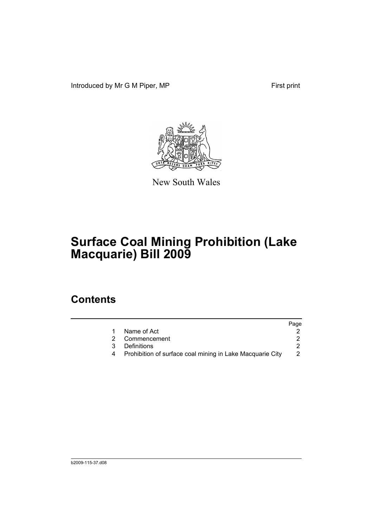Introduced by Mr G M Piper, MP First print



New South Wales

# **Surface Coal Mining Prohibition (Lake Macquarie) Bill 2009**

### **Contents**

|   |                                                           | Page |
|---|-----------------------------------------------------------|------|
|   | Name of Act                                               |      |
| 2 | Commencement                                              |      |
| 3 | <b>Definitions</b>                                        |      |
|   | Prohibition of surface coal mining in Lake Macquarie City |      |
|   |                                                           |      |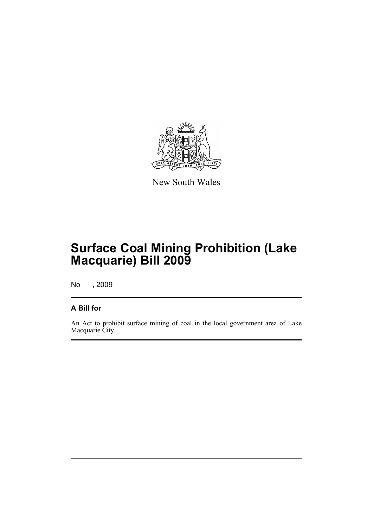

New South Wales

## **Surface Coal Mining Prohibition (Lake Macquarie) Bill 2009**

No , 2009

#### **A Bill for**

An Act to prohibit surface mining of coal in the local government area of Lake Macquarie City.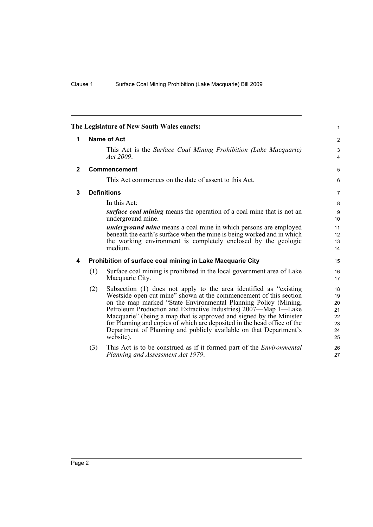<span id="page-5-3"></span><span id="page-5-2"></span><span id="page-5-1"></span><span id="page-5-0"></span>

| The Legislature of New South Wales enacts: |     |                                                                                                                                                                                                                                                                                                                                                                                                                                                                                                                    |                                              |
|--------------------------------------------|-----|--------------------------------------------------------------------------------------------------------------------------------------------------------------------------------------------------------------------------------------------------------------------------------------------------------------------------------------------------------------------------------------------------------------------------------------------------------------------------------------------------------------------|----------------------------------------------|
| 1                                          |     | <b>Name of Act</b>                                                                                                                                                                                                                                                                                                                                                                                                                                                                                                 | $\overline{2}$                               |
|                                            |     | This Act is the Surface Coal Mining Prohibition (Lake Macquarie)<br>Act 2009.                                                                                                                                                                                                                                                                                                                                                                                                                                      | 3<br>4                                       |
| $\mathbf{2}$                               |     | Commencement                                                                                                                                                                                                                                                                                                                                                                                                                                                                                                       | 5                                            |
|                                            |     | This Act commences on the date of assent to this Act.                                                                                                                                                                                                                                                                                                                                                                                                                                                              | 6                                            |
| 3                                          |     | <b>Definitions</b>                                                                                                                                                                                                                                                                                                                                                                                                                                                                                                 | $\overline{7}$                               |
|                                            |     | In this Act:                                                                                                                                                                                                                                                                                                                                                                                                                                                                                                       | 8                                            |
|                                            |     | <i>surface coal mining</i> means the operation of a coal mine that is not an<br>underground mine.                                                                                                                                                                                                                                                                                                                                                                                                                  | $\boldsymbol{9}$<br>10                       |
|                                            |     | <i>underground mine</i> means a coal mine in which persons are employed<br>beneath the earth's surface when the mine is being worked and in which<br>the working environment is completely enclosed by the geologic<br>medium.                                                                                                                                                                                                                                                                                     | 11<br>12<br>13<br>14                         |
| 4                                          |     | Prohibition of surface coal mining in Lake Macquarie City                                                                                                                                                                                                                                                                                                                                                                                                                                                          | 15                                           |
|                                            | (1) | Surface coal mining is prohibited in the local government area of Lake<br>Macquarie City.                                                                                                                                                                                                                                                                                                                                                                                                                          | 16<br>17                                     |
|                                            | (2) | Subsection (1) does not apply to the area identified as "existing<br>Westside open cut mine" shown at the commencement of this section<br>on the map marked "State Environmental Planning Policy (Mining,<br>Petroleum Production and Extractive Industries) 2007—Map 1—Lake<br>Macquarie" (being a map that is approved and signed by the Minister<br>for Planning and copies of which are deposited in the head office of the<br>Department of Planning and publicly available on that Department's<br>website). | 18<br>19<br>20<br>21<br>22<br>23<br>24<br>25 |
|                                            | (3) | This Act is to be construed as if it formed part of the <i>Environmental</i><br>Planning and Assessment Act 1979.                                                                                                                                                                                                                                                                                                                                                                                                  | 26<br>27                                     |